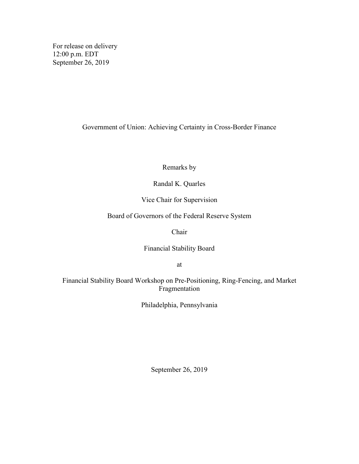For release on delivery 12:00 p.m. EDT September 26, 2019

Government of Union: Achieving Certainty in Cross-Border Finance

Remarks by

Randal K. Quarles

Vice Chair for Supervision

Board of Governors of the Federal Reserve System

Chair

Financial Stability Board

at

Financial Stability Board Workshop on Pre-Positioning, Ring-Fencing, and Market Fragmentation

Philadelphia, Pennsylvania

September 26, 2019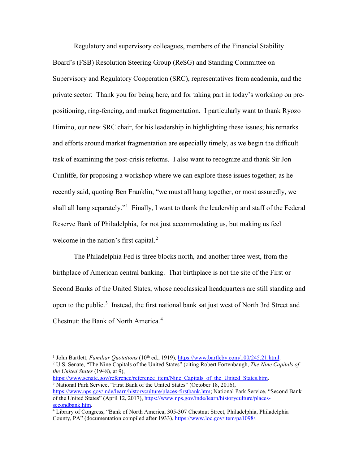Regulatory and supervisory colleagues, members of the Financial Stability Board's (FSB) Resolution Steering Group (ReSG) and Standing Committee on Supervisory and Regulatory Cooperation (SRC), representatives from academia, and the private sector: Thank you for being here, and for taking part in today's workshop on prepositioning, ring-fencing, and market fragmentation. I particularly want to thank Ryozo Himino, our new SRC chair, for his leadership in highlighting these issues; his remarks and efforts around market fragmentation are especially timely, as we begin the difficult task of examining the post-crisis reforms. I also want to recognize and thank Sir Jon Cunliffe, for proposing a workshop where we can explore these issues together; as he recently said, quoting Ben Franklin, "we must all hang together, or most assuredly, we shall all hang separately."<sup>[1](#page-1-0)</sup> Finally, I want to thank the leadership and staff of the Federal Reserve Bank of Philadelphia, for not just accommodating us, but making us feel welcome in the nation's first capital.<sup>[2](#page-1-1)</sup>

The Philadelphia Fed is three blocks north, and another three west, from the birthplace of American central banking. That birthplace is not the site of the First or Second Banks of the United States, whose neoclassical headquarters are still standing and open to the public.[3](#page-1-2) Instead, the first national bank sat just west of North 3rd Street and Chestnut: the Bank of North America.<sup>[4](#page-1-3)</sup>

<span id="page-1-2"></span>[https://www.senate.gov/reference/reference\\_item/Nine\\_Capitals\\_of\\_the\\_United\\_States.htm.](https://www.senate.gov/reference/reference_item/Nine_Capitals_of_the_United_States.htm) <sup>3</sup> National Park Service, "First Bank of the United States" (October 18, 2016), [https://www.nps.gov/inde/learn/historyculture/places-firstbank.htm;](https://www.nps.gov/inde/learn/historyculture/places-firstbank.htm) National Park Service, "Second Bank" of the United States" (April 12, 2017)[, https://www.nps.gov/inde/learn/historyculture/places](https://www.nps.gov/inde/learn/historyculture/places-secondbank.htm)[secondbank.htm.](https://www.nps.gov/inde/learn/historyculture/places-secondbank.htm)

<span id="page-1-4"></span><sup>&</sup>lt;sup>1</sup> John Bartlett, *Familiar Quotations* (10<sup>th</sup> ed., 1919), [https://www.bartleby.com/100/245.21.html.](https://www.bartleby.com/100/245.21.html)

<span id="page-1-1"></span><span id="page-1-0"></span><sup>2</sup> U.S. Senate, "The Nine Capitals of the United States" (citing Robert Fortenbaugh, *The Nine Capitals of the United States* (1948), at 9),

<span id="page-1-3"></span><sup>4</sup> Library of Congress, "Bank of North America, 305-307 Chestnut Street, Philadelphia, Philadelphia County, PA" (documentation compiled after 1933), [https://www.loc.gov/item/pa1098/.](https://www.loc.gov/item/pa1098/)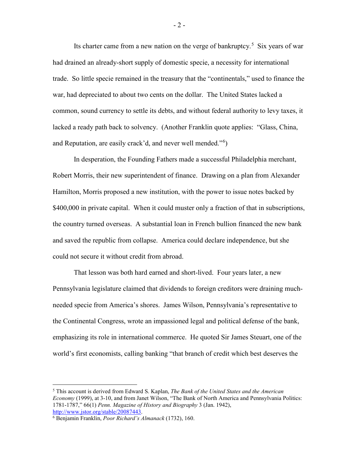<span id="page-2-2"></span><span id="page-2-1"></span>Its charter came from a new nation on the verge of bankruptcy.<sup>[5](#page-2-0)</sup> Six years of war had drained an already-short supply of domestic specie, a necessity for international trade. So little specie remained in the treasury that the "continentals," used to finance the war, had depreciated to about two cents on the dollar. The United States lacked a common, sound currency to settle its debts, and without federal authority to levy taxes, it lacked a ready path back to solvency. (Another Franklin quote applies: "Glass, China, and Reputation, are easily crack'd, and never well mended."<sup>[6](#page-2-1)</sup>)

In desperation, the Founding Fathers made a successful Philadelphia merchant, Robert Morris, their new superintendent of finance. Drawing on a plan from Alexander Hamilton, Morris proposed a new institution, with the power to issue notes backed by \$400,000 in private capital. When it could muster only a fraction of that in subscriptions, the country turned overseas. A substantial loan in French bullion financed the new bank and saved the republic from collapse. America could declare independence, but she could not secure it without credit from abroad.

That lesson was both hard earned and short-lived. Four years later, a new Pennsylvania legislature claimed that dividends to foreign creditors were draining muchneeded specie from America's shores. James Wilson, Pennsylvania's representative to the Continental Congress, wrote an impassioned legal and political defense of the bank, emphasizing its role in international commerce. He quoted Sir James Steuart, one of the world's first economists, calling banking "that branch of credit which best deserves the

<span id="page-2-0"></span> <sup>5</sup> This account is derived from Edward S. Kaplan, *The Bank of the United States and the American Economy* (1999), at 3-10, and from Janet Wilson, "The Bank of North America and Pennsylvania Politics: 1781-1787," 66(1) *Penn. Magazine of History and Biography* 3 (Jan. 1942), [http://www.jstor.org/stable/20087443.](http://www.jstor.org/stable/20087443)

<sup>6</sup> Benjamin Franklin, *Poor Richard's Almanack* (1732), 160.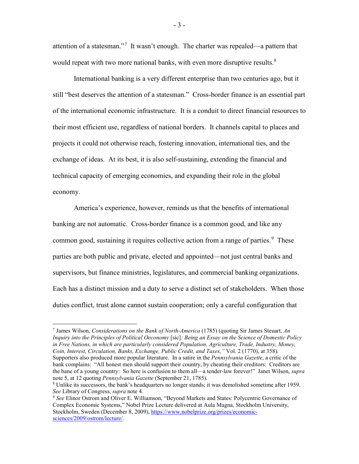attention of a statesman."[7](#page-3-0) It wasn't enough. The charter was repealed—a pattern that would repeat with two more national banks, with even more disruptive results.<sup>[8](#page-3-1)</sup>

International banking is a very different enterprise than two centuries ago, but it still "best deserves the attention of a statesman." Cross-border finance is an essential part of the international economic infrastructure. It is a conduit to direct financial resources to their most efficient use, regardless of national borders. It channels capital to places and projects it could not otherwise reach, fostering innovation, international ties, and the exchange of ideas. At its best, it is also self-sustaining, extending the financial and technical capacity of emerging economies, and expanding their role in the global economy.

America's experience, however, reminds us that the benefits of international banking are not automatic. Cross-border finance is a common good, and like any common good, sustaining it requires collective action from a range of parties.<sup>[9](#page-3-2)</sup> These parties are both public and private, elected and appointed—not just central banks and supervisors, but finance ministries, legislatures, and commercial banking organizations. Each has a distinct mission and a duty to serve a distinct set of stakeholders. When those duties conflict, trust alone cannot sustain cooperation; only a careful configuration that

<span id="page-3-0"></span> 7 James Wilson, *Considerations on the Bank of North-America* (1785) (quoting Sir James Steuart, *An Inquiry into the Principles of Political Oeconomy* [sic]*: Being an Essay on the Science of Domestic Policy in Free Nations, in which are particularly considered Population, Agriculture, Trade, Industry, Money, Coin, Interest, Circulation, Banks, Exchange, Public Credit, and Taxes,"* Vol. 2 (1770), at 358). Supporters also produced more popular literature. In a satire in the *Pennsylvania Gazette*, a critic of the bank complains: "All honest men should support their country, by cheating their creditors: Creditors are the bane of a young country: So here is confusion to them all—a tender-law forever!" Janet Wilson, *supra* not[e 5,](#page-2-2) at 12 quoting *Pennsylvania Gazette* (September 21, 1785).

- 3 -

<span id="page-3-1"></span><sup>8</sup> Unlike its successors, the bank's headquarters no longer stands; it was demolished sometime after 1959. *See* Library of Congress, *supra* note [4.](#page-1-4)

<span id="page-3-2"></span><sup>9</sup> *See* Elinor Ostrom and Oliver E. Williamson, "Beyond Markets and States: Polycentric Governance of Complex Economic Systems," Nobel Prize Lecture delivered at Aula Magna, Stockholm University, Stockholm, Sweden (December 8, 2009)[, https://www.nobelprize.org/prizes/economic](https://www.nobelprize.org/prizes/economic-sciences/2009/ostrom/lecture/)[sciences/2009/ostrom/lecture/.](https://www.nobelprize.org/prizes/economic-sciences/2009/ostrom/lecture/)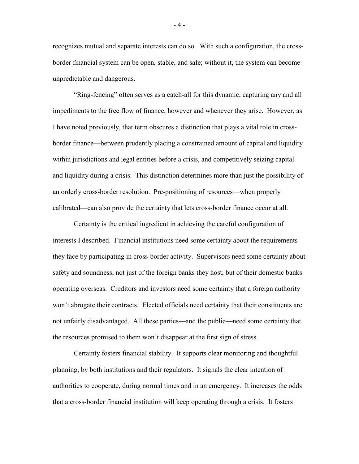recognizes mutual and separate interests can do so. With such a configuration, the crossborder financial system can be open, stable, and safe; without it, the system can become unpredictable and dangerous.

"Ring-fencing" often serves as a catch-all for this dynamic, capturing any and all impediments to the free flow of finance, however and whenever they arise. However, as I have noted previously, that term obscures a distinction that plays a vital role in crossborder finance—between prudently placing a constrained amount of capital and liquidity within jurisdictions and legal entities before a crisis, and competitively seizing capital and liquidity during a crisis. This distinction determines more than just the possibility of an orderly cross-border resolution. Pre-positioning of resources—when properly calibrated—can also provide the certainty that lets cross-border finance occur at all.

Certainty is the critical ingredient in achieving the careful configuration of interests I described. Financial institutions need some certainty about the requirements they face by participating in cross-border activity. Supervisors need some certainty about safety and soundness, not just of the foreign banks they host, but of their domestic banks operating overseas. Creditors and investors need some certainty that a foreign authority won't abrogate their contracts. Elected officials need certainty that their constituents are not unfairly disadvantaged. All these parties—and the public—need some certainty that the resources promised to them won't disappear at the first sign of stress.

Certainty fosters financial stability. It supports clear monitoring and thoughtful planning, by both institutions and their regulators. It signals the clear intention of authorities to cooperate, during normal times and in an emergency. It increases the odds that a cross-border financial institution will keep operating through a crisis. It fosters

- 4 -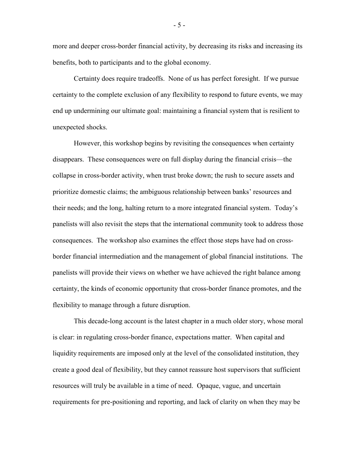more and deeper cross-border financial activity, by decreasing its risks and increasing its benefits, both to participants and to the global economy.

Certainty does require tradeoffs. None of us has perfect foresight. If we pursue certainty to the complete exclusion of any flexibility to respond to future events, we may end up undermining our ultimate goal: maintaining a financial system that is resilient to unexpected shocks.

However, this workshop begins by revisiting the consequences when certainty disappears. These consequences were on full display during the financial crisis—the collapse in cross-border activity, when trust broke down; the rush to secure assets and prioritize domestic claims; the ambiguous relationship between banks' resources and their needs; and the long, halting return to a more integrated financial system. Today's panelists will also revisit the steps that the international community took to address those consequences. The workshop also examines the effect those steps have had on crossborder financial intermediation and the management of global financial institutions. The panelists will provide their views on whether we have achieved the right balance among certainty, the kinds of economic opportunity that cross-border finance promotes, and the flexibility to manage through a future disruption.

This decade-long account is the latest chapter in a much older story, whose moral is clear: in regulating cross-border finance, expectations matter. When capital and liquidity requirements are imposed only at the level of the consolidated institution, they create a good deal of flexibility, but they cannot reassure host supervisors that sufficient resources will truly be available in a time of need. Opaque, vague, and uncertain requirements for pre-positioning and reporting, and lack of clarity on when they may be

- 5 -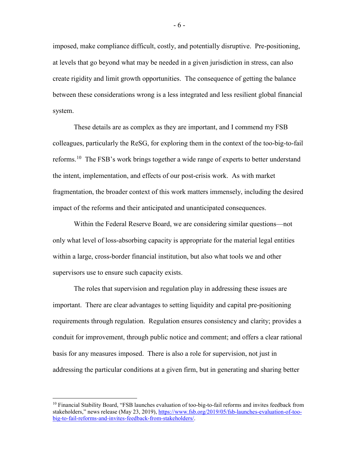imposed, make compliance difficult, costly, and potentially disruptive. Pre-positioning, at levels that go beyond what may be needed in a given jurisdiction in stress, can also create rigidity and limit growth opportunities. The consequence of getting the balance between these considerations wrong is a less integrated and less resilient global financial system.

These details are as complex as they are important, and I commend my FSB colleagues, particularly the ReSG, for exploring them in the context of the too-big-to-fail reforms.[10](#page-6-0) The FSB's work brings together a wide range of experts to better understand the intent, implementation, and effects of our post-crisis work. As with market fragmentation, the broader context of this work matters immensely, including the desired impact of the reforms and their anticipated and unanticipated consequences.

Within the Federal Reserve Board, we are considering similar questions—not only what level of loss-absorbing capacity is appropriate for the material legal entities within a large, cross-border financial institution, but also what tools we and other supervisors use to ensure such capacity exists.

The roles that supervision and regulation play in addressing these issues are important. There are clear advantages to setting liquidity and capital pre-positioning requirements through regulation. Regulation ensures consistency and clarity; provides a conduit for improvement, through public notice and comment; and offers a clear rational basis for any measures imposed. There is also a role for supervision, not just in addressing the particular conditions at a given firm, but in generating and sharing better

<span id="page-6-0"></span> <sup>10</sup> Financial Stability Board, "FSB launches evaluation of too-big-to-fail reforms and invites feedback from stakeholders," news release (May 23, 2019), [https://www.fsb.org/2019/05/fsb-launches-evaluation-of-too](https://www.fsb.org/2019/05/fsb-launches-evaluation-of-too-big-to-fail-reforms-and-invites-feedback-from-stakeholders/)[big-to-fail-reforms-and-invites-feedback-from-stakeholders/.](https://www.fsb.org/2019/05/fsb-launches-evaluation-of-too-big-to-fail-reforms-and-invites-feedback-from-stakeholders/)